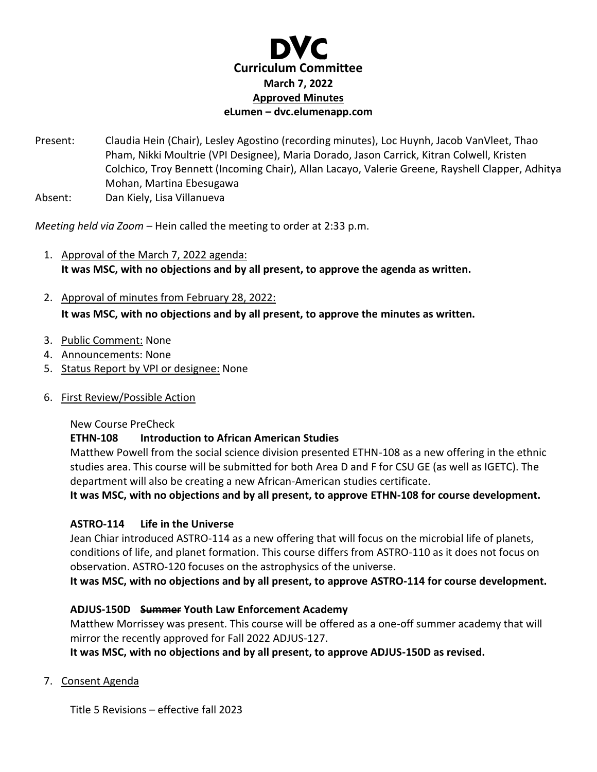

Present: Claudia Hein (Chair), Lesley Agostino (recording minutes), Loc Huynh, Jacob VanVleet, Thao Pham, Nikki Moultrie (VPI Designee), Maria Dorado, Jason Carrick, Kitran Colwell, Kristen Colchico, Troy Bennett (Incoming Chair), Allan Lacayo, Valerie Greene, Rayshell Clapper, Adhitya Mohan, Martina Ebesugawa

Absent: Dan Kiely, Lisa Villanueva

*Meeting held via Zoom –* Hein called the meeting to order at 2:33 p.m.

- 1. Approval of the March 7, 2022 agenda: **It was MSC, with no objections and by all present, to approve the agenda as written.**
- 2. Approval of minutes from February 28, 2022:

**It was MSC, with no objections and by all present, to approve the minutes as written.**

- 3. Public Comment: None
- 4. Announcements: None
- 5. Status Report by VPI or designee: None
- 6. First Review/Possible Action

# New Course PreCheck

# **ETHN-108 Introduction to African American Studies**

Matthew Powell from the social science division presented ETHN-108 as a new offering in the ethnic studies area. This course will be submitted for both Area D and F for CSU GE (as well as IGETC). The department will also be creating a new African-American studies certificate.

**It was MSC, with no objections and by all present, to approve ETHN-108 for course development.** 

# **ASTRO-114 Life in the Universe**

Jean Chiar introduced ASTRO-114 as a new offering that will focus on the microbial life of planets, conditions of life, and planet formation. This course differs from ASTRO-110 as it does not focus on observation. ASTRO-120 focuses on the astrophysics of the universe.

**It was MSC, with no objections and by all present, to approve ASTRO-114 for course development.** 

# **ADJUS-150D Summer Youth Law Enforcement Academy**

Matthew Morrissey was present. This course will be offered as a one-off summer academy that will mirror the recently approved for Fall 2022 ADJUS-127.

**It was MSC, with no objections and by all present, to approve ADJUS-150D as revised.**

7. Consent Agenda

Title 5 Revisions – effective fall 2023